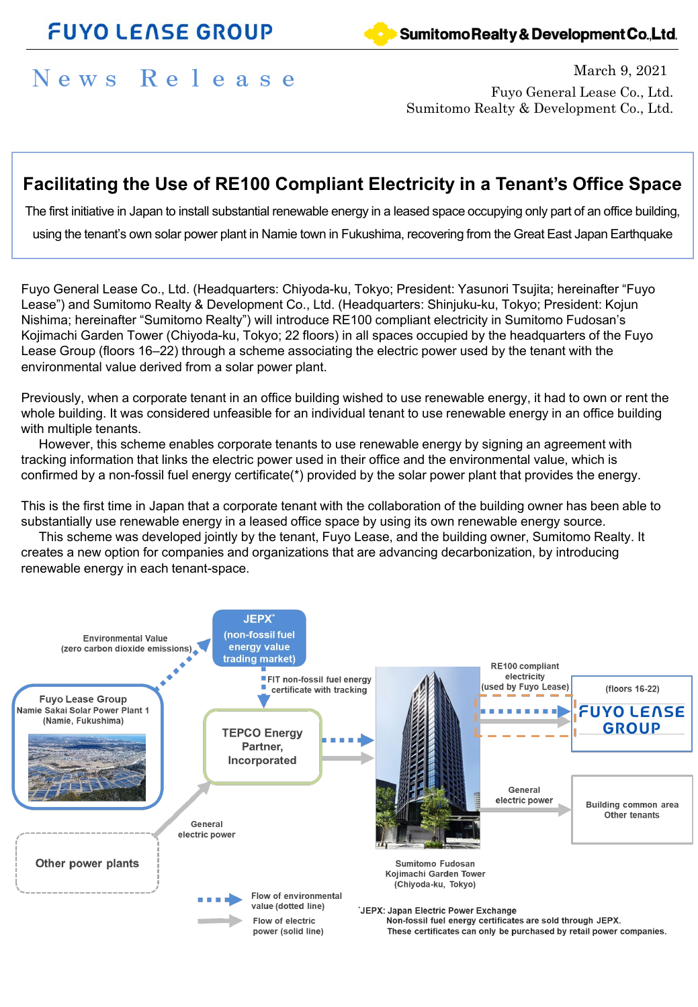## **FUYO LENSE GROUP**



### Sumitomo Realty & Development Co., Ltd.

# News Release March 9, 2021

Fuyo General Lease Co., Ltd. Sumitomo Realty & Development Co., Ltd.

## **Facilitating the Use of RE100 Compliant Electricity in a Tenant's Office Space**

The first initiative in Japan to install substantial renewable energy in a leased space occupying only part of an office building,

using the tenant's own solar power plant in Namie town in Fukushima, recovering from the Great East Japan Earthquake

Fuyo General Lease Co., Ltd. (Headquarters: Chiyoda-ku, Tokyo; President: Yasunori Tsujita; hereinafter "Fuyo Lease") and Sumitomo Realty & Development Co., Ltd. (Headquarters: Shinjuku-ku, Tokyo; President: Kojun Nishima; hereinafter "Sumitomo Realty") will introduce RE100 compliant electricity in Sumitomo Fudosan's Kojimachi Garden Tower (Chiyoda-ku, Tokyo; 22 floors) in all spaces occupied by the headquarters of the Fuyo Lease Group (floors 16–22) through a scheme associating the electric power used by the tenant with the environmental value derived from a solar power plant.

Previously, when a corporate tenant in an office building wished to use renewable energy, it had to own or rent the whole building. It was considered unfeasible for an individual tenant to use renewable energy in an office building with multiple tenants.

However, this scheme enables corporate tenants to use renewable energy by signing an agreement with tracking information that links the electric power used in their office and the environmental value, which is confirmed by a non-fossil fuel energy certificate(\*) provided by the solar power plant that provides the energy.

This is the first time in Japan that a corporate tenant with the collaboration of the building owner has been able to substantially use renewable energy in a leased office space by using its own renewable energy source.

This scheme was developed jointly by the tenant, Fuyo Lease, and the building owner, Sumitomo Realty. It creates a new option for companies and organizations that are advancing decarbonization, by introducing renewable energy in each tenant-space.